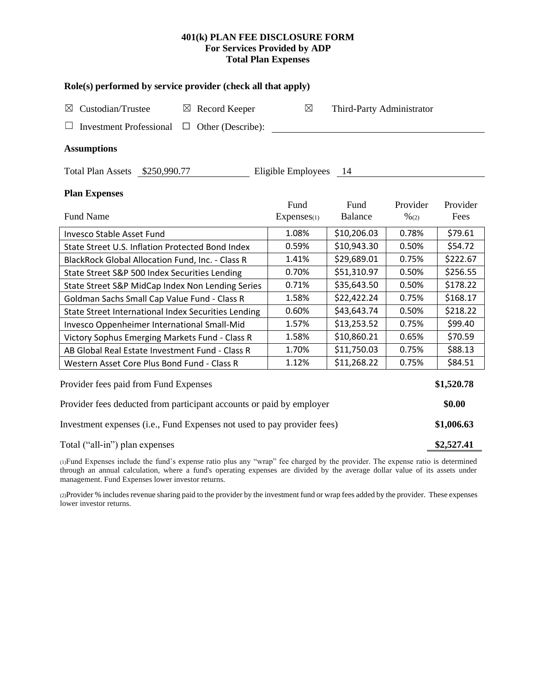## **401(k) PLAN FEE DISCLOSURE FORM For Services Provided by ADP Total Plan Expenses**

| Role(s) performed by service provider (check all that apply)            |                                          |             |                  |          |  |  |  |  |  |  |
|-------------------------------------------------------------------------|------------------------------------------|-------------|------------------|----------|--|--|--|--|--|--|
| Custodian/Trustee<br>$\boxtimes$ Record Keeper<br>$\boxtimes$           | $\boxtimes$<br>Third-Party Administrator |             |                  |          |  |  |  |  |  |  |
| Other (Describe):<br><b>Investment Professional</b><br>$\Box$           |                                          |             |                  |          |  |  |  |  |  |  |
| <b>Assumptions</b>                                                      |                                          |             |                  |          |  |  |  |  |  |  |
| Total Plan Assets \$250,990.77                                          | Eligible Employees                       | - 14        |                  |          |  |  |  |  |  |  |
| <b>Plan Expenses</b>                                                    |                                          |             |                  |          |  |  |  |  |  |  |
|                                                                         | Fund                                     | Fund        | Provider         | Provider |  |  |  |  |  |  |
| <b>Fund Name</b>                                                        | Expenses(1)                              | Balance     | $\frac{9}{6(2)}$ | Fees     |  |  |  |  |  |  |
| <b>Invesco Stable Asset Fund</b>                                        | 1.08%                                    | \$10,206.03 | 0.78%            | \$79.61  |  |  |  |  |  |  |
| State Street U.S. Inflation Protected Bond Index                        | 0.59%                                    | \$10,943.30 | 0.50%            | \$54.72  |  |  |  |  |  |  |
| BlackRock Global Allocation Fund, Inc. - Class R                        | 1.41%                                    | \$29,689.01 | 0.75%            | \$222.67 |  |  |  |  |  |  |
| State Street S&P 500 Index Securities Lending                           | 0.70%                                    | \$51,310.97 | 0.50%            | \$256.55 |  |  |  |  |  |  |
| State Street S&P MidCap Index Non Lending Series                        | 0.71%                                    | \$35,643.50 | 0.50%            | \$178.22 |  |  |  |  |  |  |
| Goldman Sachs Small Cap Value Fund - Class R                            | 1.58%                                    | \$22,422.24 | 0.75%            | \$168.17 |  |  |  |  |  |  |
| State Street International Index Securities Lending                     | 0.60%                                    | \$43,643.74 | 0.50%            | \$218.22 |  |  |  |  |  |  |
| Invesco Oppenheimer International Small-Mid                             | 1.57%                                    | \$13,253.52 | 0.75%            | \$99.40  |  |  |  |  |  |  |
| Victory Sophus Emerging Markets Fund - Class R                          | 1.58%                                    | \$10,860.21 | 0.65%            | \$70.59  |  |  |  |  |  |  |
| AB Global Real Estate Investment Fund - Class R                         | 1.70%                                    | \$11,750.03 | 0.75%            | \$88.13  |  |  |  |  |  |  |
| Western Asset Core Plus Bond Fund - Class R                             | 1.12%                                    | \$11,268.22 | 0.75%            | \$84.51  |  |  |  |  |  |  |
| Provider fees paid from Fund Expenses                                   |                                          |             |                  |          |  |  |  |  |  |  |
| Provider fees deducted from participant accounts or paid by employer    |                                          |             |                  |          |  |  |  |  |  |  |
| Investment expenses (i.e., Fund Expenses not used to pay provider fees) |                                          |             |                  |          |  |  |  |  |  |  |
| Total ("all-in") plan expenses                                          |                                          |             |                  |          |  |  |  |  |  |  |

(1)Fund Expenses include the fund's expense ratio plus any "wrap" fee charged by the provider. The expense ratio is determined through an annual calculation, where a fund's operating expenses are divided by the average dollar value of its assets under management. Fund Expenses lower investor returns.

(2)Provider % includes revenue sharing paid to the provider by the investment fund or wrap fees added by the provider. These expenses lower investor returns.